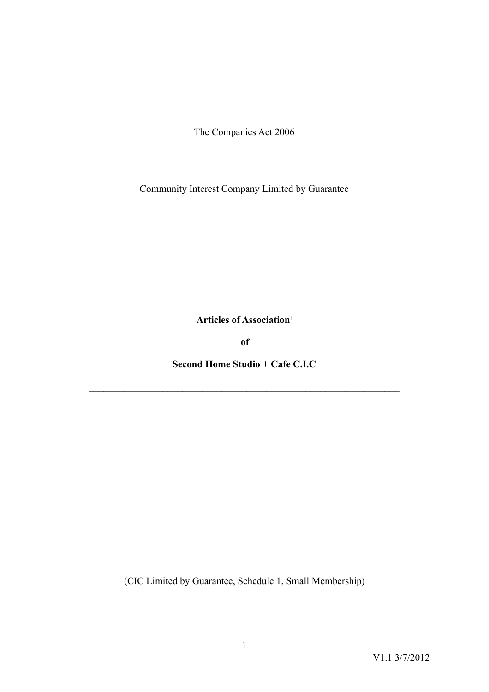The Companies Act 2006

Community Interest Company Limited by Guarantee

**Articles of Association**[1](#page-18-0)

**\_\_\_\_\_\_\_\_\_\_\_\_\_\_\_\_\_\_\_\_\_\_\_\_\_\_\_\_\_\_\_\_\_\_\_\_\_\_\_\_\_\_\_\_\_\_\_\_\_\_\_\_\_\_\_\_\_\_\_\_\_** 

<span id="page-0-0"></span>**of** 

**Second Home Studio + Cafe C.I.C** 

**\_\_\_\_\_\_\_\_\_\_\_\_\_\_\_\_\_\_\_\_\_\_\_\_\_\_\_\_\_\_\_\_\_\_\_\_\_\_\_\_\_\_\_\_\_\_\_\_\_\_\_\_\_\_\_\_\_\_\_\_\_\_\_** 

(CIC Limited by Guarantee, Schedule 1, Small Membership)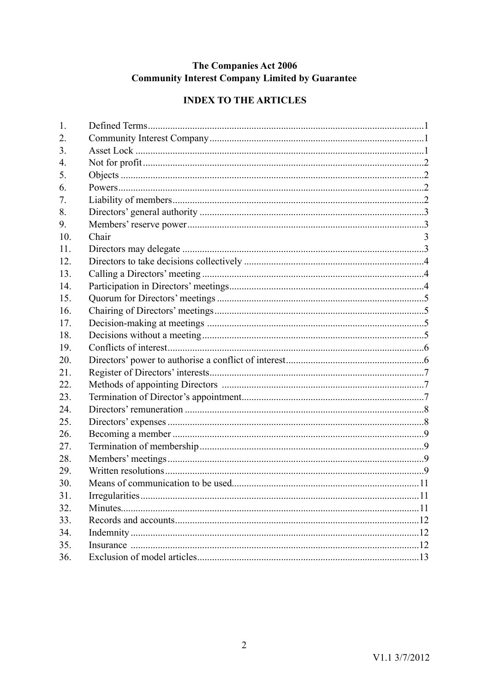# The Companies Act 2006 **Community Interest Company Limited by Guarantee**

# **INDEX TO THE ARTICLES**

| 1.  |       |   |
|-----|-------|---|
| 2.  |       |   |
| 3.  |       |   |
| 4.  |       |   |
| 5.  |       |   |
| 6.  |       |   |
| 7.  |       |   |
| 8.  |       |   |
| 9.  |       |   |
| 10. | Chair | 3 |
| 11. |       |   |
| 12. |       |   |
| 13. |       |   |
| 14. |       |   |
| 15. |       |   |
| 16. |       |   |
| 17. |       |   |
| 18. |       |   |
| 19. |       |   |
| 20. |       |   |
| 21. |       |   |
| 22. |       |   |
| 23. |       |   |
| 24. |       |   |
| 25. |       |   |
| 26. |       |   |
| 27. |       |   |
| 28. |       |   |
| 29. |       |   |
| 30. |       |   |
| 31. |       |   |
| 32. |       |   |
| 33. |       |   |
| 34. |       |   |
| 35. |       |   |
| 36. |       |   |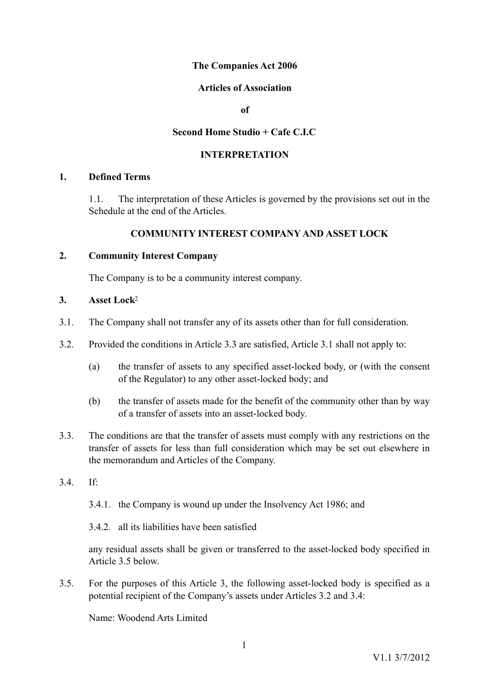## **The Companies Act 2006**

### **Articles of Association**

**of** 

### **Second Home Studio + Cafe C.I.C**

### **INTERPRETATION**

### **1. Defined Terms**

<span id="page-2-0"></span>1.1. The interpretation of these Articles is governed by the provisions set out in the Schedule at the end of the Articles.

### **COMMUNITY INTEREST COMPANY AND ASSET LOCK**

### **2. Community Interest Company**

<span id="page-2-3"></span><span id="page-2-2"></span><span id="page-2-1"></span>The Company is to be a community interest company.

### **3. Asset Lock**[2](#page-18-1)

- 3.1. The Company shall not transfer any of its assets other than for full consideration.
- 3.2. Provided the conditions in Article 3.3 are satisfied, Article 3.1 shall not apply to:
	- (a) the transfer of assets to any specified asset-locked body, or (with the consent of the Regulator) to any other asset-locked body; and
	- (b) the transfer of assets made for the benefit of the community other than by way of a transfer of assets into an asset-locked body.
- 3.3. The conditions are that the transfer of assets must comply with any restrictions on the transfer of assets for less than full consideration which may be set out elsewhere in the memorandum and Articles of the Company.
- 3.4. If:
	- 3.4.1. the Company is wound up under the Insolvency Act 1986; and
	- 3.4.2. all its liabilities have been satisfied

any residual assets shall be given or transferred to the asset-locked body specified in Article 3.5 below.

3.5. For the purposes of this Article 3, the following asset-locked body is specified as a potential recipient of the Company's assets under Articles 3.2 and 3.4:

Name: Woodend Arts Limited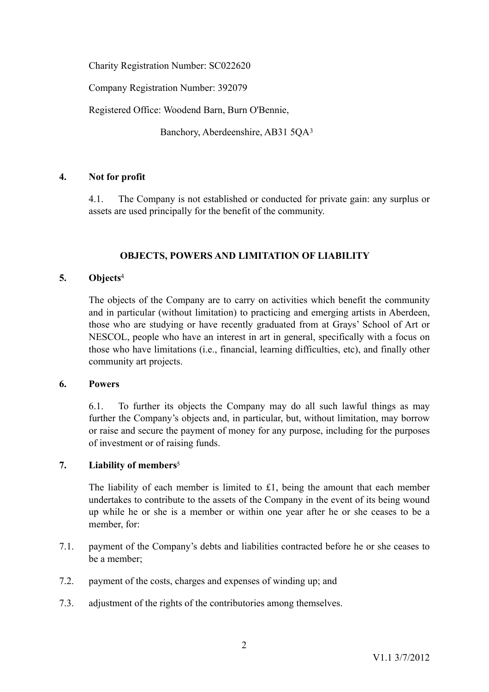Charity Registration Number: SC022620

Company Registration Number: 392079

Registered Office: Woodend Barn, Burn O'Bennie,

<span id="page-3-4"></span>Banchory, Aberdeenshire, AB31 5QA[3](#page-18-2)

# **4. Not for profit**

<span id="page-3-0"></span>4.1. The Company is not established or conducted for private gain: any surplus or assets are used principally for the benefit of the community.

## <span id="page-3-5"></span>**OBJECTS, POWERS AND LIMITATION OF LIABILITY**

## **5. Objects**[4](#page-18-3)

<span id="page-3-1"></span>The objects of the Company are to carry on activities which benefit the community and in particular (without limitation) to practicing and emerging artists in Aberdeen, those who are studying or have recently graduated from at Grays' School of Art or NESCOL, people who have an interest in art in general, specifically with a focus on those who have limitations (i.e., financial, learning difficulties, etc), and finally other community art projects.

### **6. Powers**

<span id="page-3-2"></span>6.1. To further its objects the Company may do all such lawful things as may further the Company's objects and, in particular, but, without limitation, may borrow or raise and secure the payment of money for any purpose, including for the purposes of investment or of raising funds.

# **7. Liability of members**[5](#page-18-4)

<span id="page-3-6"></span><span id="page-3-3"></span>The liability of each member is limited to £1, being the amount that each member undertakes to contribute to the assets of the Company in the event of its being wound up while he or she is a member or within one year after he or she ceases to be a member, for:

- 7.1. payment of the Company's debts and liabilities contracted before he or she ceases to be a member;
- 7.2. payment of the costs, charges and expenses of winding up; and
- 7.3. adjustment of the rights of the contributories among themselves.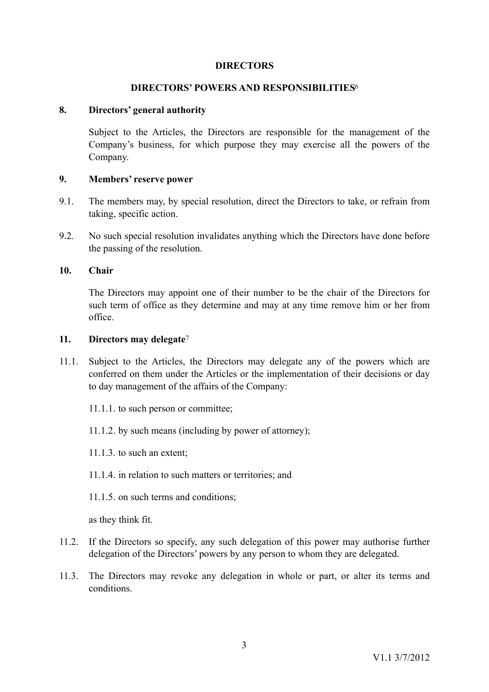#### <span id="page-4-4"></span>**DIRECTORS**

#### **DIRECTORS' POWERS AND RESPONSIBILITIES**[6](#page-18-5)

#### **8. Directors' general authority**

<span id="page-4-0"></span>Subject to the Articles, the Directors are responsible for the management of the Company's business, for which purpose they may exercise all the powers of the Company.

#### <span id="page-4-1"></span>**9. Members' reserve power**

- 9.1. The members may, by special resolution, direct the Directors to take, or refrain from taking, specific action.
- 9.2. No such special resolution invalidates anything which the Directors have done before the passing of the resolution.

#### **10. Chair**

<span id="page-4-5"></span><span id="page-4-2"></span>The Directors may appoint one of their number to be the chair of the Directors for such term of office as they determine and may at any time remove him or her from office.

#### <span id="page-4-3"></span>**11. Directors may delegate**[7](#page-18-6)

- 11.1. Subject to the Articles, the Directors may delegate any of the powers which are conferred on them under the Articles or the implementation of their decisions or day to day management of the affairs of the Company:
	- 11.1.1. to such person or committee;
	- 11.1.2. by such means (including by power of attorney);
	- 11.1.3. to such an extent;
	- 11.1.4. in relation to such matters or territories; and
	- 11.1.5. on such terms and conditions;

as they think fit.

- 11.2. If the Directors so specify, any such delegation of this power may authorise further delegation of the Directors' powers by any person to whom they are delegated.
- 11.3. The Directors may revoke any delegation in whole or part, or alter its terms and conditions.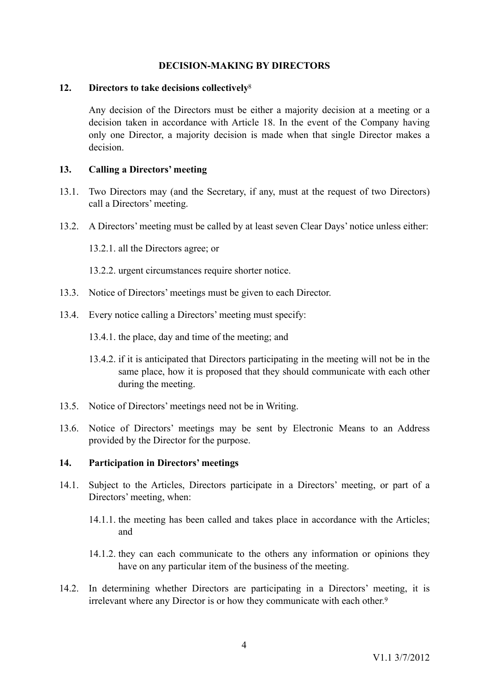## <span id="page-5-3"></span>**DECISION-MAKING BY DIRECTORS**

#### **12. Directors to take decisions collectively**[8](#page-18-7)

<span id="page-5-0"></span>Any decision of the Directors must be either a majority decision at a meeting or a decision taken in accordance with Article [18.](#page-6-3) In the event of the Company having only one Director, a majority decision is made when that single Director makes a decision.

### <span id="page-5-1"></span>**13. Calling a Directors' meeting**

- 13.1. Two Directors may (and the Secretary, if any, must at the request of two Directors) call a Directors' meeting.
- 13.2. A Directors' meeting must be called by at least seven Clear Days' notice unless either:
	- 13.2.1. all the Directors agree; or
	- 13.2.2. urgent circumstances require shorter notice.
- 13.3. Notice of Directors' meetings must be given to each Director.
- 13.4. Every notice calling a Directors' meeting must specify:
	- 13.4.1. the place, day and time of the meeting; and
	- 13.4.2. if it is anticipated that Directors participating in the meeting will not be in the same place, how it is proposed that they should communicate with each other during the meeting.
- 13.5. Notice of Directors' meetings need not be in Writing.
- 13.6. Notice of Directors' meetings may be sent by Electronic Means to an Address provided by the Director for the purpose.

### <span id="page-5-2"></span>**14. Participation in Directors' meetings**

- 14.1. Subject to the Articles, Directors participate in a Directors' meeting, or part of a Directors' meeting, when:
	- 14.1.1. the meeting has been called and takes place in accordance with the Articles; and
	- 14.1.2. they can each communicate to the others any information or opinions they have on any particular item of the business of the meeting.
- <span id="page-5-4"></span>14.2. In determining whether Directors are participating in a Directors' meeting, it is irrelevant where any Director is or how they communicate with each other.[9](#page-18-8)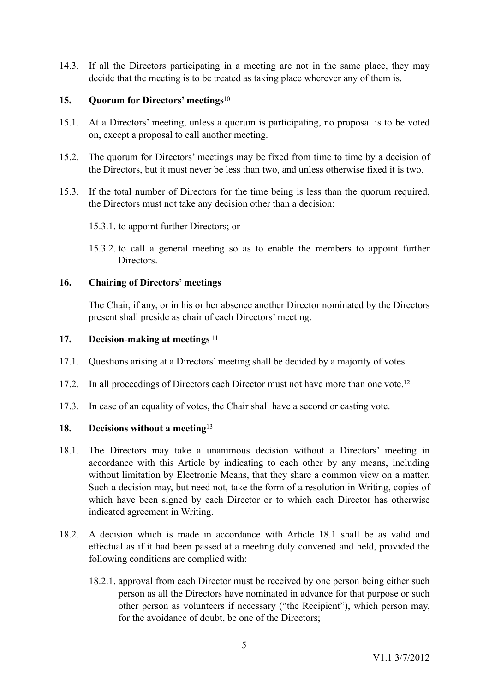14.3. If all the Directors participating in a meeting are not in the same place, they may decide that the meeting is to be treated as taking place wherever any of them is.

## <span id="page-6-6"></span><span id="page-6-0"></span>**15. Quorum for Directors' meetings**[10](#page-18-9)

- 15.1. At a Directors' meeting, unless a quorum is participating, no proposal is to be voted on, except a proposal to call another meeting.
- 15.2. The quorum for Directors' meetings may be fixed from time to time by a decision of the Directors, but it must never be less than two, and unless otherwise fixed it is two.
- 15.3. If the total number of Directors for the time being is less than the quorum required, the Directors must not take any decision other than a decision:
	- 15.3.1. to appoint further Directors; or
	- 15.3.2. to call a general meeting so as to enable the members to appoint further **Directors**

### **16. Chairing of Directors' meetings**

<span id="page-6-8"></span><span id="page-6-7"></span><span id="page-6-1"></span>The Chair, if any, or in his or her absence another Director nominated by the Directors present shall preside as chair of each Directors' meeting.

### <span id="page-6-2"></span>**17. Decision-making at meetings** [11](#page-18-10)

- 17.1. Questions arising at a Directors' meeting shall be decided by a majority of votes.
- 17.2. In all proceedings of Directors each Director must not have more than one vote.<sup>12</sup>
- 17.3. In case of an equality of votes, the Chair shall have a second or casting vote.

### <span id="page-6-9"></span><span id="page-6-3"></span>**18. Decisions without a meeting**[13](#page-18-12)

- <span id="page-6-4"></span>18.1. The Directors may take a unanimous decision without a Directors' meeting in accordance with this Article by indicating to each other by any means, including without limitation by Electronic Means, that they share a common view on a matter. Such a decision may, but need not, take the form of a resolution in Writing, copies of which have been signed by each Director or to which each Director has otherwise indicated agreement in Writing.
- <span id="page-6-5"></span>18.2. A decision which is made in accordance with Article [18.1](#page-6-4) shall be as valid and effectual as if it had been passed at a meeting duly convened and held, provided the following conditions are complied with:
	- 18.2.1. approval from each Director must be received by one person being either such person as all the Directors have nominated in advance for that purpose or such other person as volunteers if necessary ("the Recipient"), which person may, for the avoidance of doubt, be one of the Directors;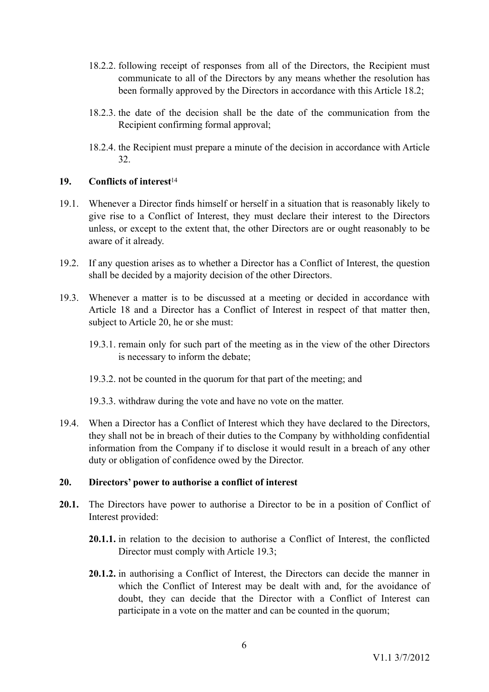- 18.2.2. following receipt of responses from all of the Directors, the Recipient must communicate to all of the Directors by any means whether the resolution has been formally approved by the Directors in accordance with this Article [18.2;](#page-6-5)
- 18.2.3. the date of the decision shall be the date of the communication from the Recipient confirming formal approval;
- <span id="page-7-3"></span>18.2.4. the Recipient must prepare a minute of the decision in accordance with Article [32](#page-12-2).

### <span id="page-7-0"></span>**19. Conflicts of interest**[14](#page-18-13)

- 19.1. Whenever a Director finds himself or herself in a situation that is reasonably likely to give rise to a Conflict of Interest, they must declare their interest to the Directors unless, or except to the extent that, the other Directors are or ought reasonably to be aware of it already.
- 19.2. If any question arises as to whether a Director has a Conflict of Interest, the question shall be decided by a majority decision of the other Directors.
- 19.3. Whenever a matter is to be discussed at a meeting or decided in accordance with Article 18 and a Director has a Conflict of Interest in respect of that matter then, subject to Article 20, he or she must:
	- 19.3.1. remain only for such part of the meeting as in the view of the other Directors is necessary to inform the debate;
	- 19.3.2. not be counted in the quorum for that part of the meeting; and
	- 19.3.3. withdraw during the vote and have no vote on the matter.
- 19.4. When a Director has a Conflict of Interest which they have declared to the Directors, they shall not be in breach of their duties to the Company by withholding confidential information from the Company if to disclose it would result in a breach of any other duty or obligation of confidence owed by the Director.

# <span id="page-7-1"></span>**20. Directors' power to authorise a conflict of interest**

- <span id="page-7-2"></span>**20.1.** The Directors have power to authorise a Director to be in a position of Conflict of Interest provided:
	- **20.1.1.** in relation to the decision to authorise a Conflict of Interest, the conflicted Director must comply with Article 19.3;
	- **20.1.2.** in authorising a Conflict of Interest, the Directors can decide the manner in which the Conflict of Interest may be dealt with and, for the avoidance of doubt, they can decide that the Director with a Conflict of Interest can participate in a vote on the matter and can be counted in the quorum;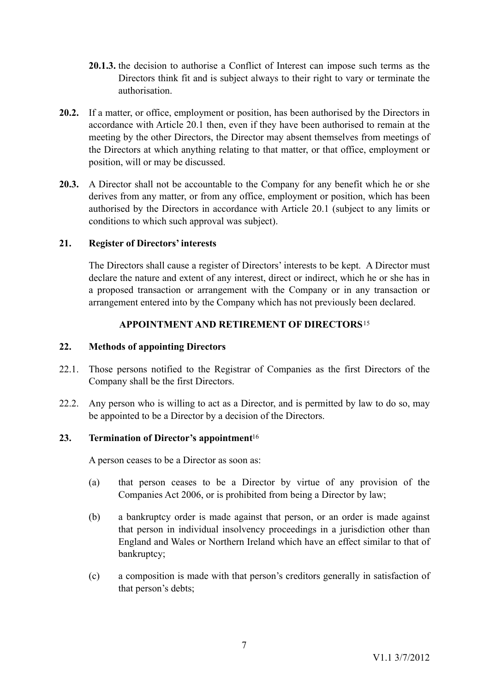- **20.1.3.** the decision to authorise a Conflict of Interest can impose such terms as the Directors think fit and is subject always to their right to vary or terminate the authorisation.
- **20.2.** If a matter, or office, employment or position, has been authorised by the Directors in accordance with Article [20.1](#page-7-2) then, even if they have been authorised to remain at the meeting by the other Directors, the Director may absent themselves from meetings of the Directors at which anything relating to that matter, or that office, employment or position, will or may be discussed.
- **20.3.** A Director shall not be accountable to the Company for any benefit which he or she derives from any matter, or from any office, employment or position, which has been authorised by the Directors in accordance with Article [20.1](#page-7-2) (subject to any limits or conditions to which such approval was subject).

## **21. Register of Directors' interests**

<span id="page-8-0"></span>The Directors shall cause a register of Directors' interests to be kept. A Director must declare the nature and extent of any interest, direct or indirect, which he or she has in a proposed transaction or arrangement with the Company or in any transaction or arrangement entered into by the Company which has not previously been declared.

# <span id="page-8-3"></span>**APPOINTMENT AND RETIREMENT OF DIRECTORS**[15](#page-19-0)

### <span id="page-8-1"></span>**22. Methods of appointing Directors**

- 22.1. Those persons notified to the Registrar of Companies as the first Directors of the Company shall be the first Directors.
- 22.2. Any person who is willing to act as a Director, and is permitted by law to do so, may be appointed to be a Director by a decision of the Directors.

# **23. Termination of Director's appointment**[16](#page-19-1)

<span id="page-8-4"></span><span id="page-8-2"></span>A person ceases to be a Director as soon as:

- (a) that person ceases to be a Director by virtue of any provision of the Companies Act 2006, or is prohibited from being a Director by law;
- (b) a bankruptcy order is made against that person, or an order is made against that person in individual insolvency proceedings in a jurisdiction other than England and Wales or Northern Ireland which have an effect similar to that of bankruptcy;
- (c) a composition is made with that person's creditors generally in satisfaction of that person's debts;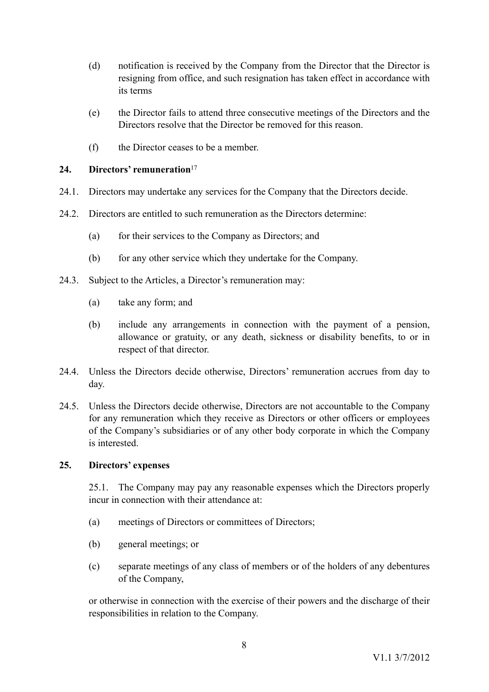- (d) notification is received by the Company from the Director that the Director is resigning from office, and such resignation has taken effect in accordance with its terms
- (e) the Director fails to attend three consecutive meetings of the Directors and the Directors resolve that the Director be removed for this reason.
- <span id="page-9-2"></span><span id="page-9-0"></span>(f) the Director ceases to be a member.

## **24. Directors' remuneration**[17](#page-19-2)

- 24.1. Directors may undertake any services for the Company that the Directors decide.
- 24.2. Directors are entitled to such remuneration as the Directors determine:
	- (a) for their services to the Company as Directors; and
	- (b) for any other service which they undertake for the Company.
- 24.3. Subject to the Articles, a Director's remuneration may:
	- (a) take any form; and
	- (b) include any arrangements in connection with the payment of a pension, allowance or gratuity, or any death, sickness or disability benefits, to or in respect of that director.
- 24.4. Unless the Directors decide otherwise, Directors' remuneration accrues from day to day.
- 24.5. Unless the Directors decide otherwise, Directors are not accountable to the Company for any remuneration which they receive as Directors or other officers or employees of the Company's subsidiaries or of any other body corporate in which the Company is interested.

# **25. Directors' expenses**

<span id="page-9-1"></span>25.1. The Company may pay any reasonable expenses which the Directors properly incur in connection with their attendance at:

- (a) meetings of Directors or committees of Directors;
- (b) general meetings; or
- (c) separate meetings of any class of members or of the holders of any debentures of the Company,

or otherwise in connection with the exercise of their powers and the discharge of their responsibilities in relation to the Company.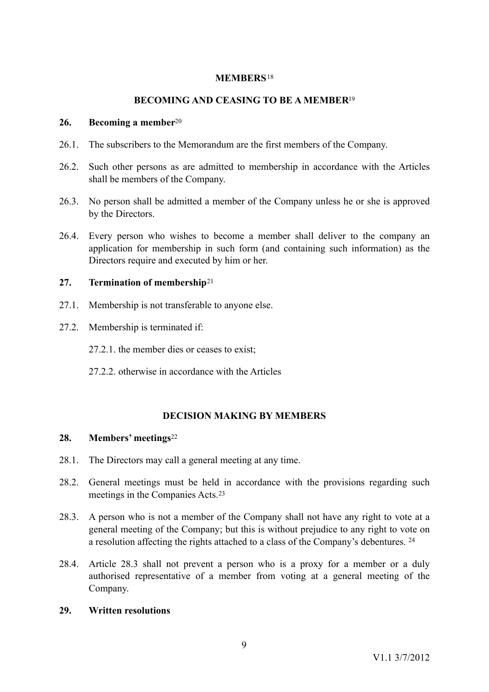### <span id="page-10-5"></span><span id="page-10-4"></span>**MEMBERS**[18](#page-19-3)

# <span id="page-10-6"></span>**BECOMING AND CEASING TO BE A MEMBER**[19](#page-19-4)

#### <span id="page-10-0"></span>**26. Becoming a member**[20](#page-19-5)

- 26.1. The subscribers to the Memorandum are the first members of the Company.
- 26.2. Such other persons as are admitted to membership in accordance with the Articles shall be members of the Company.
- 26.3. No person shall be admitted a member of the Company unless he or she is approved by the Directors.
- 26.4. Every person who wishes to become a member shall deliver to the company an application for membership in such form (and containing such information) as the Directors require and executed by him or her.

### <span id="page-10-1"></span>**27. Termination of membership**[21](#page-19-6)

- 27.1. Membership is not transferable to anyone else.
- 27.2. Membership is terminated if:
	- 27.2.1. the member dies or ceases to exist;
	- 27.2.2. otherwise in accordance with the Articles

# <span id="page-10-10"></span><span id="page-10-9"></span><span id="page-10-8"></span><span id="page-10-7"></span>**DECISION MAKING BY MEMBERS**

### <span id="page-10-2"></span>**28. Members' meetings**[22](#page-19-7)

- 28.1. The Directors may call a general meeting at any time.
- 28.2. General meetings must be held in accordance with the provisions regarding such meetings in the Companies Acts.[23](#page-19-8)
- 28.3. A person who is not a member of the Company shall not have any right to vote at a general meeting of the Company; but this is without prejudice to any right to vote on a resolution affecting the rights attached to a class of the Company's debentures. [24](#page-19-9)
- 28.4. Article 28.3 shall not prevent a person who is a proxy for a member or a duly authorised representative of a member from voting at a general meeting of the Company.

### <span id="page-10-3"></span>**29. Written resolutions**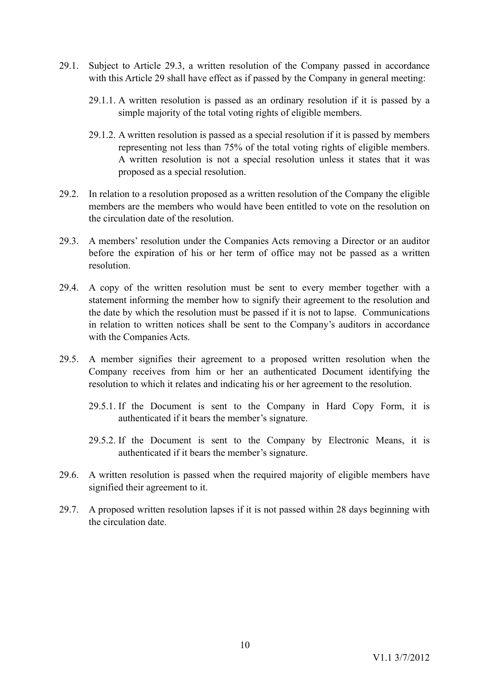- 29.1. Subject to Article [29.3,](#page-11-0) a written resolution of the Company passed in accordance with this Article 29 shall have effect as if passed by the Company in general meeting:
	- 29.1.1. A written resolution is passed as an ordinary resolution if it is passed by a simple majority of the total voting rights of eligible members.
	- 29.1.2. A written resolution is passed as a special resolution if it is passed by members representing not less than 75% of the total voting rights of eligible members. A written resolution is not a special resolution unless it states that it was proposed as a special resolution.
- 29.2. In relation to a resolution proposed as a written resolution of the Company the eligible members are the members who would have been entitled to vote on the resolution on the circulation date of the resolution.
- <span id="page-11-0"></span>29.3. A members' resolution under the Companies Acts removing a Director or an auditor before the expiration of his or her term of office may not be passed as a written resolution.
- 29.4. A copy of the written resolution must be sent to every member together with a statement informing the member how to signify their agreement to the resolution and the date by which the resolution must be passed if it is not to lapse. Communications in relation to written notices shall be sent to the Company's auditors in accordance with the Companies Acts.
- 29.5. A member signifies their agreement to a proposed written resolution when the Company receives from him or her an authenticated Document identifying the resolution to which it relates and indicating his or her agreement to the resolution.
	- 29.5.1. If the Document is sent to the Company in Hard Copy Form, it is authenticated if it bears the member's signature.
	- 29.5.2. If the Document is sent to the Company by Electronic Means, it is authenticated if it bears the member's signature.
- 29.6. A written resolution is passed when the required majority of eligible members have signified their agreement to it.
- 29.7. A proposed written resolution lapses if it is not passed within 28 days beginning with the circulation date.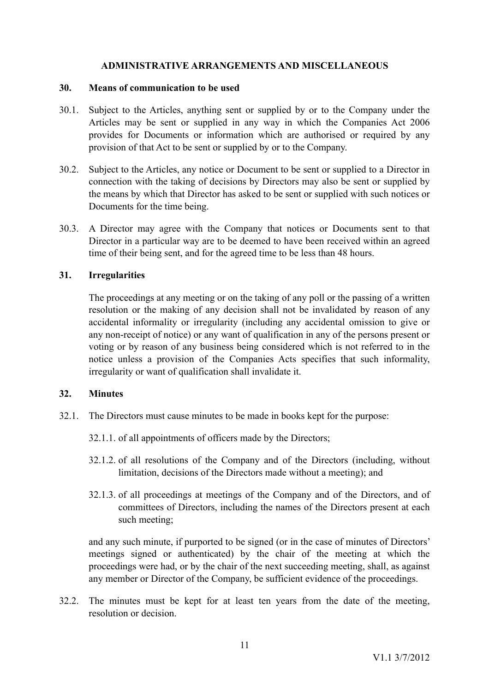## <span id="page-12-0"></span>**ADMINISTRATIVE ARRANGEMENTS AND MISCELLANEOUS**

#### **30. Means of communication to be used**

- 30.1. Subject to the Articles, anything sent or supplied by or to the Company under the Articles may be sent or supplied in any way in which the Companies Act 2006 provides for Documents or information which are authorised or required by any provision of that Act to be sent or supplied by or to the Company.
- 30.2. Subject to the Articles, any notice or Document to be sent or supplied to a Director in connection with the taking of decisions by Directors may also be sent or supplied by the means by which that Director has asked to be sent or supplied with such notices or Documents for the time being.
- 30.3. A Director may agree with the Company that notices or Documents sent to that Director in a particular way are to be deemed to have been received within an agreed time of their being sent, and for the agreed time to be less than 48 hours.

### **31. Irregularities**

<span id="page-12-1"></span>The proceedings at any meeting or on the taking of any poll or the passing of a written resolution or the making of any decision shall not be invalidated by reason of any accidental informality or irregularity (including any accidental omission to give or any non-receipt of notice) or any want of qualification in any of the persons present or voting or by reason of any business being considered which is not referred to in the notice unless a provision of the Companies Acts specifies that such informality, irregularity or want of qualification shall invalidate it.

### <span id="page-12-2"></span>**32. Minutes**

- 32.1. The Directors must cause minutes to be made in books kept for the purpose:
	- 32.1.1. of all appointments of officers made by the Directors;
	- 32.1.2. of all resolutions of the Company and of the Directors (including, without limitation, decisions of the Directors made without a meeting); and
	- 32.1.3. of all proceedings at meetings of the Company and of the Directors, and of committees of Directors, including the names of the Directors present at each such meeting;

and any such minute, if purported to be signed (or in the case of minutes of Directors' meetings signed or authenticated) by the chair of the meeting at which the proceedings were had, or by the chair of the next succeeding meeting, shall, as against any member or Director of the Company, be sufficient evidence of the proceedings.

32.2. The minutes must be kept for at least ten years from the date of the meeting, resolution or decision.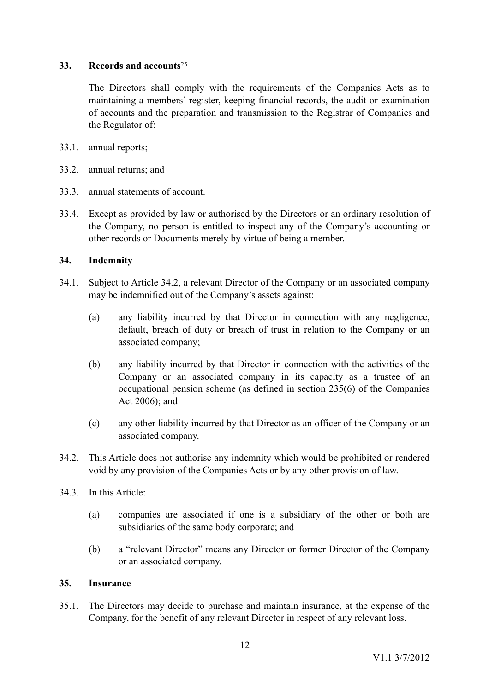# **33. Records and accounts**[25](#page-19-10)

<span id="page-13-3"></span><span id="page-13-0"></span>The Directors shall comply with the requirements of the Companies Acts as to maintaining a members' register, keeping financial records, the audit or examination of accounts and the preparation and transmission to the Registrar of Companies and the Regulator of:

- 33.1. annual reports;
- 33.2. annual returns; and
- 33.3. annual statements of account.
- 33.4. Except as provided by law or authorised by the Directors or an ordinary resolution of the Company, no person is entitled to inspect any of the Company's accounting or other records or Documents merely by virtue of being a member.

## <span id="page-13-1"></span>**34. Indemnity**

- 34.1. Subject to Article 34.2, a relevant Director of the Company or an associated company may be indemnified out of the Company's assets against:
	- (a) any liability incurred by that Director in connection with any negligence, default, breach of duty or breach of trust in relation to the Company or an associated company;
	- (b) any liability incurred by that Director in connection with the activities of the Company or an associated company in its capacity as a trustee of an occupational pension scheme (as defined in section 235(6) of the Companies Act 2006); and
	- (c) any other liability incurred by that Director as an officer of the Company or an associated company.
- 34.2. This Article does not authorise any indemnity which would be prohibited or rendered void by any provision of the Companies Acts or by any other provision of law.
- 34.3. In this Article:
	- (a) companies are associated if one is a subsidiary of the other or both are subsidiaries of the same body corporate; and
	- (b) a "relevant Director" means any Director or former Director of the Company or an associated company.

### <span id="page-13-2"></span>**35. Insurance**

35.1. The Directors may decide to purchase and maintain insurance, at the expense of the Company, for the benefit of any relevant Director in respect of any relevant loss.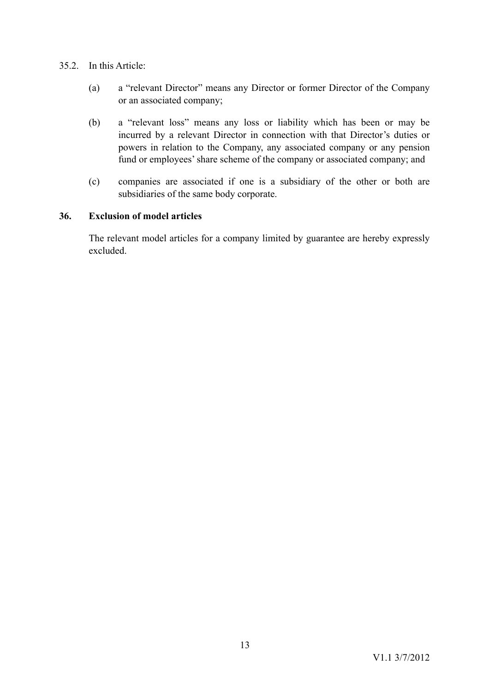# 35.2. In this Article:

- (a) a "relevant Director" means any Director or former Director of the Company or an associated company;
- (b) a "relevant loss" means any loss or liability which has been or may be incurred by a relevant Director in connection with that Director's duties or powers in relation to the Company, any associated company or any pension fund or employees' share scheme of the company or associated company; and
- (c) companies are associated if one is a subsidiary of the other or both are subsidiaries of the same body corporate.

# **36. Exclusion of model articles**

<span id="page-14-0"></span>The relevant model articles for a company limited by guarantee are hereby expressly excluded.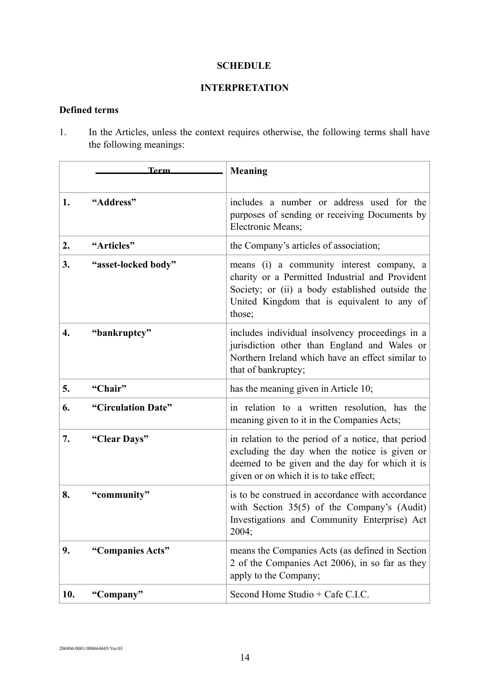### **SCHEDULE**

# **INTERPRETATION**

# **Defined terms**

1. In the Articles, unless the context requires otherwise, the following terms shall have the following meanings:

|     | Term                | <b>Meaning</b>                                                                                                                                                                                           |
|-----|---------------------|----------------------------------------------------------------------------------------------------------------------------------------------------------------------------------------------------------|
| 1.  | "Address"           | includes a number or address used for the<br>purposes of sending or receiving Documents by<br>Electronic Means;                                                                                          |
| 2.  | "Articles"          | the Company's articles of association;                                                                                                                                                                   |
| 3.  | "asset-locked body" | means (i) a community interest company, a<br>charity or a Permitted Industrial and Provident<br>Society; or (ii) a body established outside the<br>United Kingdom that is equivalent to any of<br>those; |
| 4.  | "bankruptcy"        | includes individual insolvency proceedings in a<br>jurisdiction other than England and Wales or<br>Northern Ireland which have an effect similar to<br>that of bankruptcy;                               |
| 5.  | "Chair"             | has the meaning given in Article 10;                                                                                                                                                                     |
| 6.  | "Circulation Date"  | in relation to a written resolution, has the<br>meaning given to it in the Companies Acts;                                                                                                               |
| 7.  | "Clear Days"        | in relation to the period of a notice, that period<br>excluding the day when the notice is given or<br>deemed to be given and the day for which it is<br>given or on which it is to take effect;         |
| 8.  | "community"         | is to be construed in accordance with accordance<br>with Section $35(5)$ of the Company's (Audit)<br>Investigations and Community Enterprise) Act<br>2004;                                               |
| 9.  | "Companies Acts"    | means the Companies Acts (as defined in Section<br>2 of the Companies Act 2006), in so far as they<br>apply to the Company;                                                                              |
| 10. | "Company"           | Second Home Studio + Cafe C.I.C.                                                                                                                                                                         |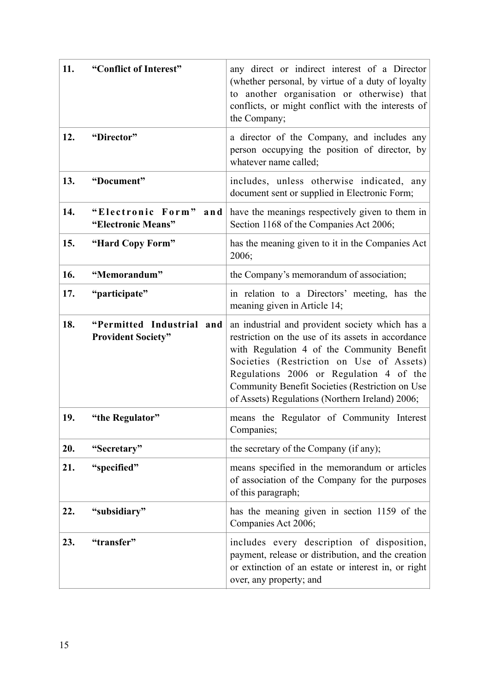| 11. | "Conflict of Interest"                                 | any direct or indirect interest of a Director<br>(whether personal, by virtue of a duty of loyalty<br>to another organisation or otherwise) that<br>conflicts, or might conflict with the interests of<br>the Company;                                                                                                                           |
|-----|--------------------------------------------------------|--------------------------------------------------------------------------------------------------------------------------------------------------------------------------------------------------------------------------------------------------------------------------------------------------------------------------------------------------|
| 12. | "Director"                                             | a director of the Company, and includes any<br>person occupying the position of director, by<br>whatever name called;                                                                                                                                                                                                                            |
| 13. | "Document"                                             | includes, unless otherwise indicated, any<br>document sent or supplied in Electronic Form;                                                                                                                                                                                                                                                       |
| 14. | "Electronic Form"<br>and<br>"Electronic Means"         | have the meanings respectively given to them in<br>Section 1168 of the Companies Act 2006;                                                                                                                                                                                                                                                       |
| 15. | "Hard Copy Form"                                       | has the meaning given to it in the Companies Act<br>2006;                                                                                                                                                                                                                                                                                        |
| 16. | "Memorandum"                                           | the Company's memorandum of association;                                                                                                                                                                                                                                                                                                         |
| 17. | "participate"                                          | in relation to a Directors' meeting, has the<br>meaning given in Article 14;                                                                                                                                                                                                                                                                     |
| 18. | "Permitted Industrial and<br><b>Provident Society"</b> | an industrial and provident society which has a<br>restriction on the use of its assets in accordance<br>with Regulation 4 of the Community Benefit<br>Societies (Restriction on Use of Assets)<br>Regulations 2006 or Regulation 4 of the<br>Community Benefit Societies (Restriction on Use<br>of Assets) Regulations (Northern Ireland) 2006; |
| 19. | "the Regulator"                                        | means the Regulator of Community Interest<br>Companies;                                                                                                                                                                                                                                                                                          |
| 20. | "Secretary"                                            | the secretary of the Company (if any);                                                                                                                                                                                                                                                                                                           |
| 21. | "specified"                                            | means specified in the memorandum or articles<br>of association of the Company for the purposes<br>of this paragraph;                                                                                                                                                                                                                            |
| 22. | "subsidiary"                                           | has the meaning given in section 1159 of the<br>Companies Act 2006;                                                                                                                                                                                                                                                                              |
| 23. | "transfer"                                             | includes every description of disposition,<br>payment, release or distribution, and the creation<br>or extinction of an estate or interest in, or right<br>over, any property; and                                                                                                                                                               |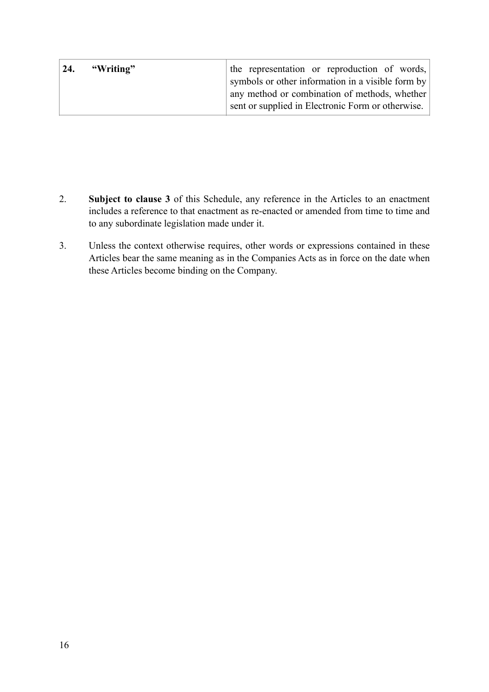| $\vert 24. \vert$<br>"Writing" | the representation or reproduction of words,      |
|--------------------------------|---------------------------------------------------|
|                                | symbols or other information in a visible form by |
|                                | any method or combination of methods, whether     |
|                                | sent or supplied in Electronic Form or otherwise. |

- 2. **Subject to clause [3](#page-17-0)** of this Schedule, any reference in the Articles to an enactment includes a reference to that enactment as re-enacted or amended from time to time and to any subordinate legislation made under it.
- <span id="page-17-0"></span>3. Unless the context otherwise requires, other words or expressions contained in these Articles bear the same meaning as in the Companies Acts as in force on the date when these Articles become binding on the Company.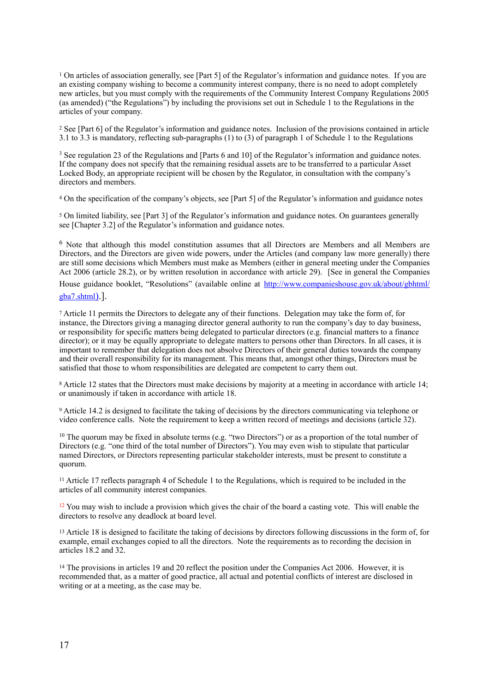<span id="page-18-0"></span><sup>[1](#page-0-0)</sup> On articles of association generally, see [Part 5] of the Regulator's information and guidance notes. If you are an existing company wishing to become a community interest company, there is no need to adopt completely new articles, but you must comply with the requirements of the Community Interest Company Regulations 2005 (as amended) ("the Regulations") by including the provisions set out in Schedule 1 to the Regulations in the articles of your company.

<span id="page-18-1"></span><sup>[2](#page-2-3)</sup> See [Part 6] of the Regulator's information and guidance notes. Inclusion of the provisions contained in article 3.1 to 3.3 is mandatory, reflecting sub-paragraphs (1) to (3) of paragraph 1 of Schedule 1 to the Regulations

<span id="page-18-2"></span><sup>[3](#page-3-4)</sup> See regulation 23 of the Regulations and [Parts 6 and 10] of the Regulator's information and guidance notes. If the company does not specify that the remaining residual assets are to be transferred to a particular Asset Locked Body, an appropriate recipient will be chosen by the Regulator, in consultation with the company's directors and members.

<span id="page-18-3"></span>On the specification of the company's objects, see [Part 5] of the Regulator's information and guidance notes [4](#page-3-5)

<span id="page-18-4"></span> On limited liability, see [Part 3] of the Regulator's information and guidance notes. On guarantees generally [5](#page-3-6) see [Chapter 3.2] of the Regulator's information and guidance notes.

<span id="page-18-5"></span> $6$  Note that although this model constitution assumes that all Directors are Members and all Members are Directors, and the Directors are given wide powers, under the Articles (and company law more generally) there are still some decisions which Members must make as Members (either in general meeting under the Companies Act 2006 (article 28.2), or by written resolution in accordance with article 29). [See in general the Companies

House guidance booklet, "Resolutions" (available online at [http://www.companieshouse.gov.uk/about/gbhtml/](http://www.companieshouse.gov.uk/about/gbhtml/gba7.shtml)) [gba7.shtml\)](http://www.companieshouse.gov.uk/about/gbhtml/gba7.shtml)).].

<span id="page-18-6"></span> Article 11 permits the Directors to delegate any of their functions. Delegation may take the form of, for [7](#page-4-5) instance, the Directors giving a managing director general authority to run the company's day to day business, or responsibility for specific matters being delegated to particular directors (e.g. financial matters to a finance director); or it may be equally appropriate to delegate matters to persons other than Directors. In all cases, it is important to remember that delegation does not absolve Directors of their general duties towards the company and their overall responsibility for its management. This means that, amongst other things, Directors must be satisfied that those to whom responsibilities are delegated are competent to carry them out.

<span id="page-18-7"></span> Article 12 states that the Directors must make decisions by majority at a meeting in accordance with article 14; [8](#page-5-3) or unanimously if taken in accordance with article 18.

<span id="page-18-8"></span> Article 14.2 is designed to facilitate the taking of decisions by the directors communicating via telephone or [9](#page-5-4) video conference calls. Note the requirement to keep a written record of meetings and decisions (article 32).

<span id="page-18-9"></span> $10$ The quorum may be fixed in absolute terms (e.g. "two Directors") or as a proportion of the total number of Directors (e.g. "one third of the total number of Directors"). You may even wish to stipulate that particular named Directors, or Directors representing particular stakeholder interests, must be present to constitute a quorum.

<span id="page-18-10"></span> Article 17 reflects paragraph 4 of Schedule 1 to the Regulations, which is required to be included in the [11](#page-6-7) articles of all community interest companies.

<span id="page-18-11"></span> $12$ You may wish to include a provision which gives the chair of the board a casting vote. This will enable the directors to resolve any deadlock at board level.

<span id="page-18-12"></span><sup>13</sup>Article 18 is designed to facilitate the taking of decisions by directors following discussions in the form of, for example, email exchanges copied to all the directors. Note the requirements as to recording the decision in articles 18.2 and 32.

<span id="page-18-13"></span><sup>14</sup>The provisions in articles 19 and 20 reflect the position under the Companies Act 2006. However, it is recommended that, as a matter of good practice, all actual and potential conflicts of interest are disclosed in writing or at a meeting, as the case may be.